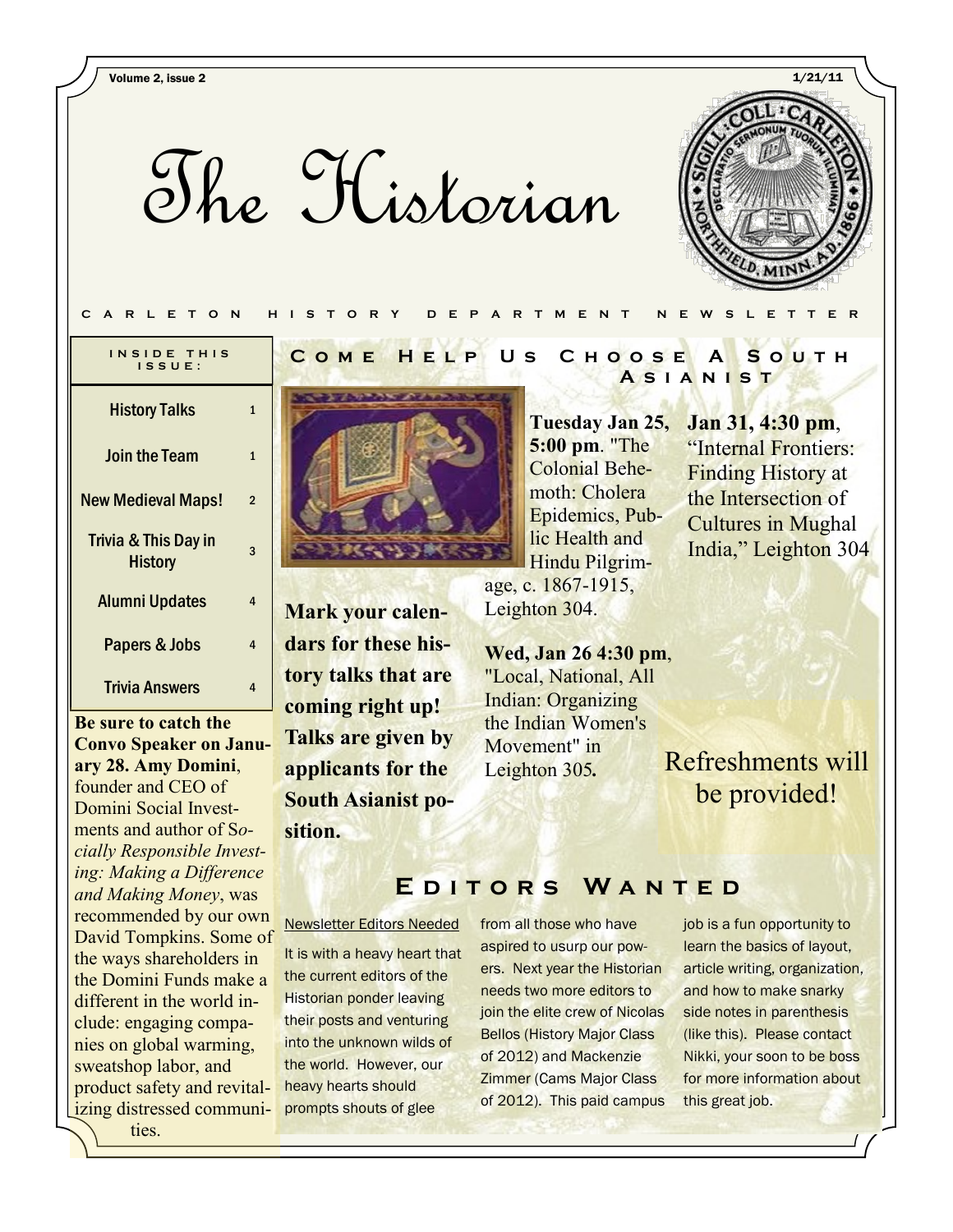Volume 2, issue 2 1/21/11

The Historian



#### **C A R L E T O N H I S T O R Y D E P A R T M E N T N E W S L E T T E R**

| INSIDE THIS<br>$IS$ SUE:               |   |
|----------------------------------------|---|
| <b>History Talks</b>                   | 1 |
| Join the Team                          | 1 |
| <b>New Medieval Maps!</b>              | 2 |
| Trivia & This Day in<br><b>History</b> | 3 |
| <b>Alumni Updates</b>                  | 4 |
| <b>Papers &amp; Jobs</b>               | 4 |
| Trivia Answers                         | 4 |

**Be sure to catch the Convo Speaker on January 28. Amy Domini**, founder and CEO of Domini Social Investments and author of S*ocially Responsible Investing: Making a Difference and Making Money*, was recommended by our own David Tompkins. Some of the ways shareholders in the Domini Funds make a different in the world include: engaging companies on global warming, sweatshop labor, and product safety and revitalizing distressed communities.

**Mark your calendars for these history talks that are coming right up! Talks are given by applicants for the South Asianist position.**

#### **C o m e H e l p U s C h o o s e A S o u t h A s i a n i s t**

## **Tuesday Jan 25, 5:00 pm**. "The Colonial Behemoth: Cholera Epidemics, Public Health and Hindu Pilgrim-

age, c. 1867-1915, Leighton 304.

**Wed, Jan 26 4:30 pm**, "Local, National, All Indian: Organizing the Indian Women's Movement" in Leighton 305*.*

**Jan 31, 4:30 pm**, "Internal Frontiers: Finding History at the Intersection of Cultures in Mughal India," Leighton 304

Refreshments will be provided!

## **E d i t o r s W a n t e d**

Newsletter Editors Needed

It is with a heavy heart that the current editors of the Historian ponder leaving their posts and venturing into the unknown wilds of the world. However, our heavy hearts should prompts shouts of glee

from all those who have aspired to usurp our powers. Next year the Historian needs two more editors to join the elite crew of Nicolas Bellos (History Major Class of 2012) and Mackenzie Zimmer (Cams Major Class of 2012). This paid campus

job is a fun opportunity to learn the basics of layout, article writing, organization, and how to make snarky side notes in parenthesis (like this). Please contact Nikki, your soon to be boss for more information about this great job.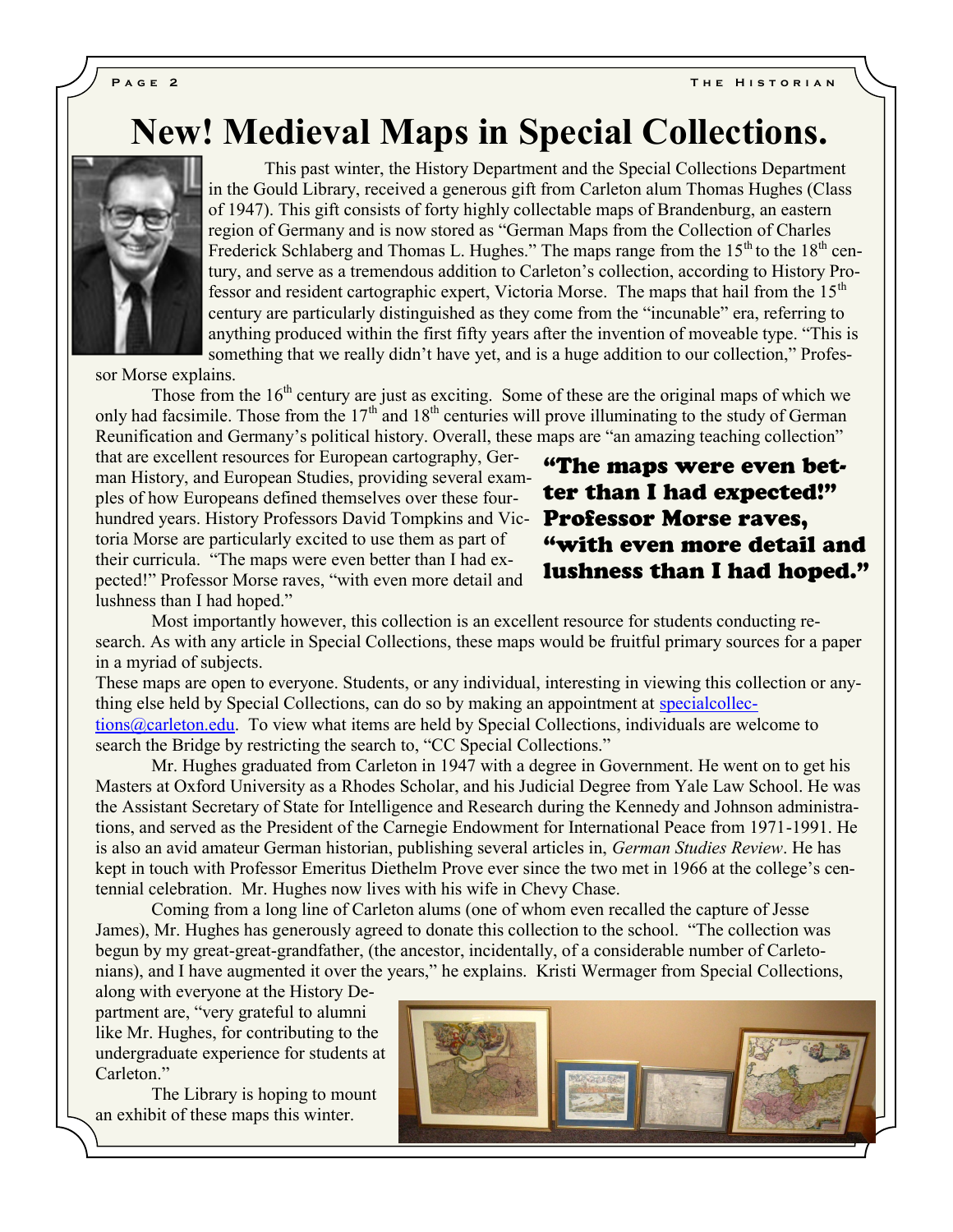**PAGE 2 THE HISTORIAN** 

# **New! Medieval Maps in Special Collections.**



This past winter, the History Department and the Special Collections Department in the Gould Library, received a generous gift from Carleton alum Thomas Hughes (Class of 1947). This gift consists of forty highly collectable maps of Brandenburg, an eastern region of Germany and is now stored as "German Maps from the Collection of Charles Frederick Schlaberg and Thomas L. Hughes." The maps range from the  $15<sup>th</sup>$  to the  $18<sup>th</sup>$  century, and serve as a tremendous addition to Carleton"s collection, according to History Professor and resident cartographic expert, Victoria Morse. The maps that hail from the  $15<sup>th</sup>$ century are particularly distinguished as they come from the "incunable" era, referring to anything produced within the first fifty years after the invention of moveable type. "This is something that we really didn"t have yet, and is a huge addition to our collection," Profes-

sor Morse explains.

Those from the 16<sup>th</sup> century are just as exciting. Some of these are the original maps of which we only had facsimile. Those from the  $17<sup>th</sup>$  and  $18<sup>th</sup>$  centuries will prove illuminating to the study of German Reunification and Germany's political history. Overall, these maps are "an amazing teaching collection"

that are excellent resources for European cartography, German History, and European Studies, providing several examples of how Europeans defined themselves over these fourhundred years. History Professors David Tompkins and Vic- Professor Morse raves, toria Morse are particularly excited to use them as part of their curricula. "The maps were even better than I had expected!" Professor Morse raves, "with even more detail and lushness than I had hoped."

## "The maps were even better than I had expected!" "with even more detail and lushness than I had hoped."

Most importantly however, this collection is an excellent resource for students conducting research. As with any article in Special Collections, these maps would be fruitful primary sources for a paper in a myriad of subjects.

These maps are open to everyone. Students, or any individual, interesting in viewing this collection or anything else held by Special Collections, can do so by making an appointment at [specialcollec](mailto:speciialcollections@carleton.edu)[tions@carleton.edu.](mailto:speciialcollections@carleton.edu) To view what items are held by Special Collections, individuals are welcome to search the Bridge by restricting the search to, "CC Special Collections."

Mr. Hughes graduated from Carleton in 1947 with a degree in Government. He went on to get his Masters at Oxford University as a Rhodes Scholar, and his Judicial Degree from Yale Law School. He was the Assistant Secretary of State for Intelligence and Research during the Kennedy and Johnson administrations, and served as the President of the Carnegie Endowment for International Peace from 1971-1991. He is also an avid amateur German historian, publishing several articles in, *German Studies Review*. He has kept in touch with Professor Emeritus Diethelm Prove ever since the two met in 1966 at the college"s centennial celebration. Mr. Hughes now lives with his wife in Chevy Chase.

Coming from a long line of Carleton alums (one of whom even recalled the capture of Jesse James), Mr. Hughes has generously agreed to donate this collection to the school. "The collection was begun by my great-great-grandfather, (the ancestor, incidentally, of a considerable number of Carletonians), and I have augmented it over the years," he explains. Kristi Wermager from Special Collections,

along with everyone at the History Department are, "very grateful to alumni like Mr. Hughes, for contributing to the undergraduate experience for students at Carleton."

The Library is hoping to mount an exhibit of these maps this winter.

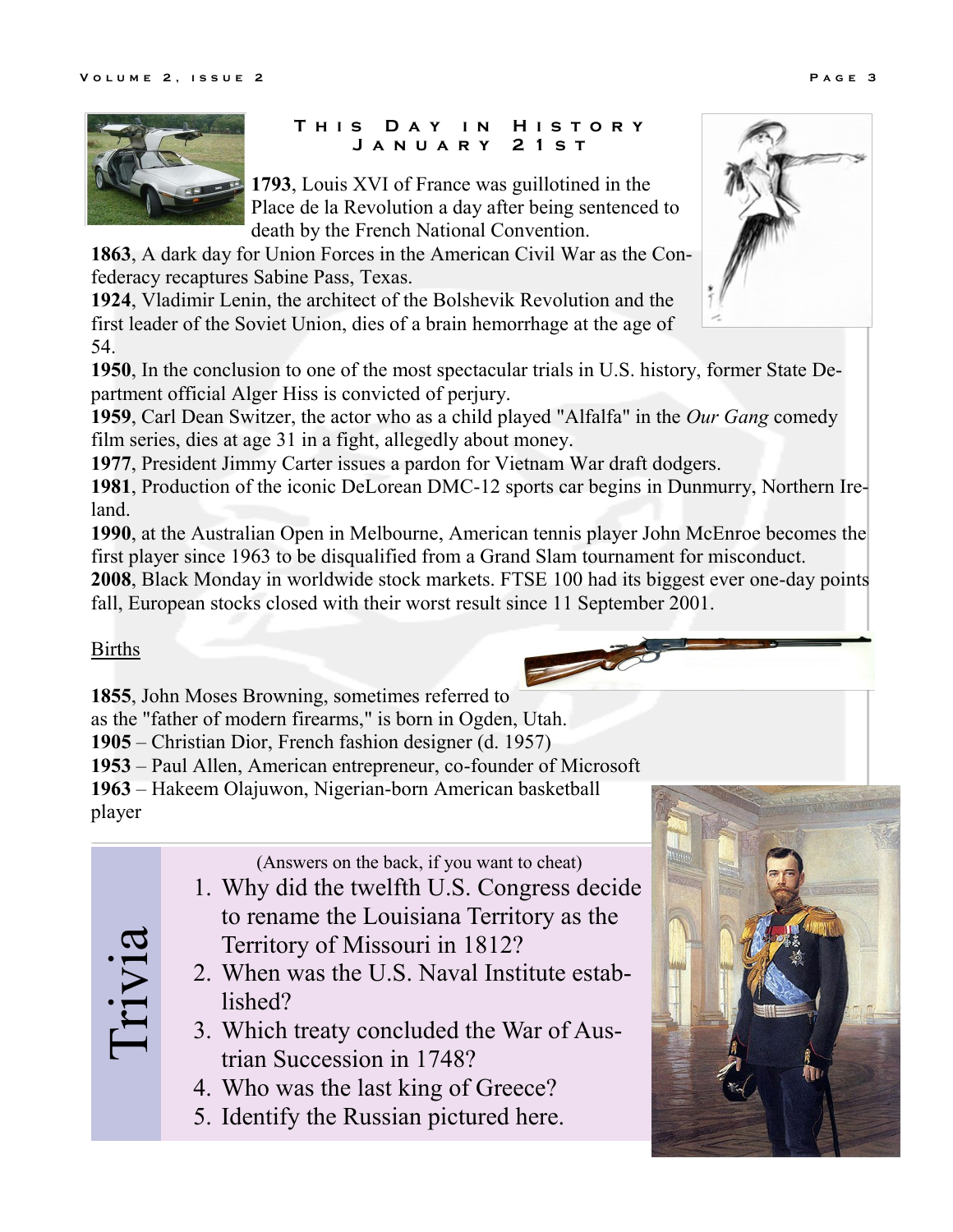

## **T h i s D a y i n H i s t o r y J a n u a r y 2 1 s t**

**1793**, Louis XVI of France was guillotined in the Place de la Revolution a day after being sentenced to death by the French National Convention.

**1863**, A dark day for Union Forces in the American Civil War as the Confederacy recaptures Sabine Pass, Texas.

**1924**, Vladimir Lenin, the architect of the Bolshevik Revolution and the first leader of the Soviet Union, dies of a brain hemorrhage at the age of 54.

**1950**, In the conclusion to one of the most spectacular trials in U.S. history, former State Department official Alger Hiss is convicted of perjury.

**1959**, Carl Dean Switzer, the actor who as a child played "Alfalfa" in the *Our Gang* comedy film series, dies at age 31 in a fight, allegedly about money.

**1977**, President Jimmy Carter issues a pardon for Vietnam War draft dodgers.

**1981**, Production of the iconic DeLorean DMC-12 sports car begins in Dunmurry, Northern Ireland.

**1990**, at the Australian Open in Melbourne, American tennis player John McEnroe becomes the first player since 1963 to be disqualified from a Grand Slam tournament for misconduct.

**2008**, Black Monday in worldwide stock markets. FTSE 100 had its biggest ever one-day points fall, European stocks closed with their worst result since 11 September 2001.

## Births

Trivia

**1855**, John Moses Browning, sometimes referred to

as the "father of modern firearms," is born in Ogden, Utah.

**1905** – Christian Dior, French fashion designer (d. 1957)

**1953** – Paul Allen, American entrepreneur, co-founder of Microsoft

**1963** – Hakeem Olajuwon, Nigerian-born American basketball player

(Answers on the back, if you want to cheat)

- 1. Why did the twelfth U.S. Congress decide to rename the Louisiana Territory as the Territory of Missouri in 1812?
- 2. When was the U.S. Naval Institute established?
- 3. Which treaty concluded the War of Austrian Succession in 1748?
- 4. Who was the last king of Greece?
- 5. Identify the Russian pictured here.